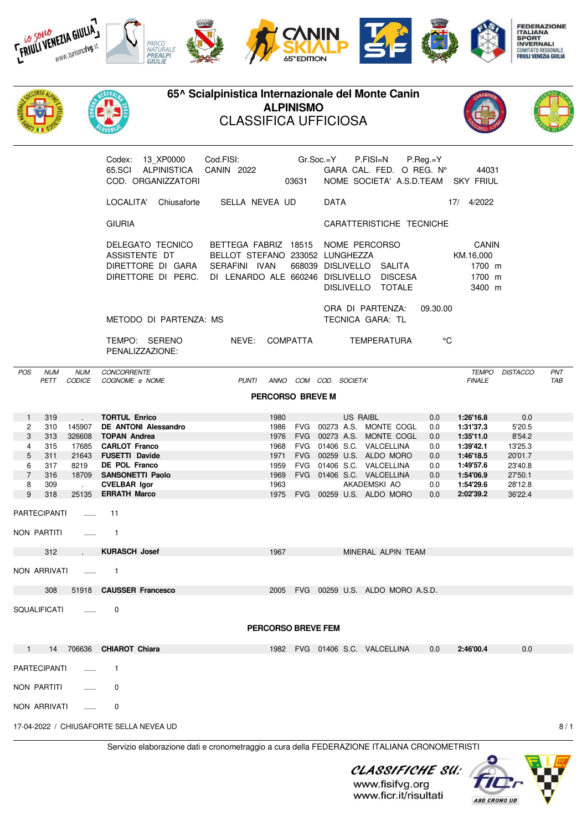

PENALIZZAZIONE:

POS NUM NUM CONCORRENTE TEMPO DISTACCO PNT PETT CODICE COGNOME e NOME PUNTI ANNO COM COD. SOCIETA' FINALE TAB **PERCORSO BREVE M** 1 319 . **TORTUL Enrico** 1980 US RAIBL 0.0 **1:26'16.8** 0.0 2 310 145907 **DE ANTONI Alessandro** 1986 FVG 00273 A.S. MONTE COGL 0.0 **1:31'37.3** 5'20.5 3 313 326608 **TOPAN Andrea** 1976 FVG 00273 A.S. MONTE COGL 0.0 **1:35'11.0** 8'54.2 4 315 17685 **CARLOT Franco** 1968 FVG 01406 S.C. VALCELLINA 0.0 **1:39'42.1** 13'25.3 5 311 21643 **FUSETTI Davide** 1971 FVG 00259 U.S. ALDO MORO 0.0 **1:46'18.5** 20'01.7 6 317 8219 **DE POL Franco** 1959 FVG 01406 S.C. VALCELLINA 0.0 **1:49'57.6** 23'40.8 7 316 18709 **SANSONETTI Paolo** 1969 FVG 01406 S.C. VALCELLINA 0.0 **1:54'06.9** 27'50.1 8 309 . **CVELBAR Igor** 1963 AKADEMSKI AO 0.0 **1:54'29.6** 28'12.8 9 318 25135 **ERRATH Marco** 1975 FVG 00259 U.S. ALDO MORO 0.0 **2:02'39.2** 36'22.4 PARTECIPANTI ...... 11 NON PARTITI ....... 1 312 . **KURASCH Josef** 1967 MINERAL ALPIN TEAM NON ARRIVATI ...... 1 308 51918 **CAUSSER Francesco** 2005 FVG 00259 U.S. ALDO MORO A.S.D. SQUALIFICATI ...... 0 **PERCORSO BREVE FEM** 1 14 706636 **CHIAROT Chiara** 1982 FVG 01406 S.C. VALCELLINA 0.0 **2:46'00.4** 0.0 PARTECIPANTI 1 NON PARTITI ...... 0 NON ARRIVATI ...... 0 17-04-2022 / CHIUSAFORTE SELLA NEVEA UD 8 / 1

Servizio elaborazione dati e cronometraggio a cura della FEDERAZIONE ITALIANA CRONOMETRISTI

CLASSIFICHE SU: **ASD CRONO UD** 

www.fisifvg.org www.ficr.it/risultati